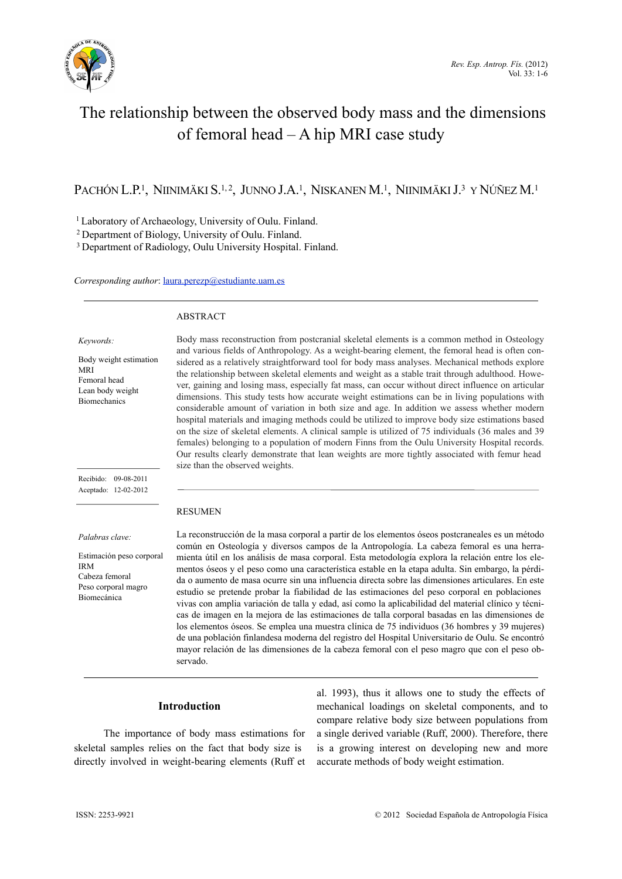

# The relationship between the observed body mass and the dimensions of femoral head – A hip MRI case study

PACHÓN L.P.<sup>1</sup>, NIINIMÄKI S.<sup>1, 2</sup>, JUNNO J.A.<sup>1</sup>, NISKANEN M.<sup>1</sup>, NIINIMÄKI J.<sup>3</sup> Y NÚÑEZ M.<sup>1</sup>

1 Laboratory of Archaeology, University of Oulu. Finland.

2 Department of Biology, University of Oulu. Finland.

3 Department of Radiology, Oulu University Hospital. Finland.

#### *Corresponding author*: [laura.perezp@estudiante.uam.es](mailto:laura.perezp@estudiante.uam.es)

#### ABSTRACT

*Keywords:*

Body weight estimation MRI Femoral head Lean body weight Biomechanics

Body mass reconstruction from postcranial skeletal elements is a common method in Osteology and various fields of Anthropology. As a weight-bearing element, the femoral head is often considered as a relatively straightforward tool for body mass analyses. Mechanical methods explore the relationship between skeletal elements and weight as a stable trait through adulthood. However, gaining and losing mass, especially fat mass, can occur without direct influence on articular dimensions. This study tests how accurate weight estimations can be in living populations with considerable amount of variation in both size and age. In addition we assess whether modern hospital materials and imaging methods could be utilized to improve body size estimations based on the size of skeletal elements. A clinical sample is utilized of 75 individuals (36 males and 39 females) belonging to a population of modern Finns from the Oulu University Hospital records. Our results clearly demonstrate that lean weights are more tightly associated with femur head size than the observed weights.

Recibido: 09-08-2011 Aceptado: 12-02-2012

*Palabras clave:*

Estimación peso corporal IRM Cabeza femoral Peso corporal magro Biomecánica

## **RESUMEN**

La reconstrucción de la masa corporal a partir de los elementos óseos postcraneales es un método común en Osteología y diversos campos de la Antropología. La cabeza femoral es una herramienta útil en los análisis de masa corporal. Esta metodología explora la relación entre los elementos óseos y el peso como una característica estable en la etapa adulta. Sin embargo, la pérdida o aumento de masa ocurre sin una influencia directa sobre las dimensiones articulares. En este estudio se pretende probar la fiabilidad de las estimaciones del peso corporal en poblaciones vivas con amplia variación de talla y edad, así como la aplicabilidad del material clínico y técnicas de imagen en la mejora de las estimaciones de talla corporal basadas en las dimensiones de los elementos óseos. Se emplea una muestra clínica de 75 individuos (36 hombres y 39 mujeres) de una población finlandesa moderna del registro del Hospital Universitario de Oulu. Se encontró mayor relación de las dimensiones de la cabeza femoral con el peso magro que con el peso observado.

## **Introduction**

The importance of body mass estimations for skeletal samples relies on the fact that body size is directly involved in weight-bearing elements (Ruff et

al. 1993), thus it allows one to study the effects of mechanical loadings on skeletal components, and to compare relative body size between populations from a single derived variable (Ruff, 2000). Therefore, there is a growing interest on developing new and more accurate methods of body weight estimation.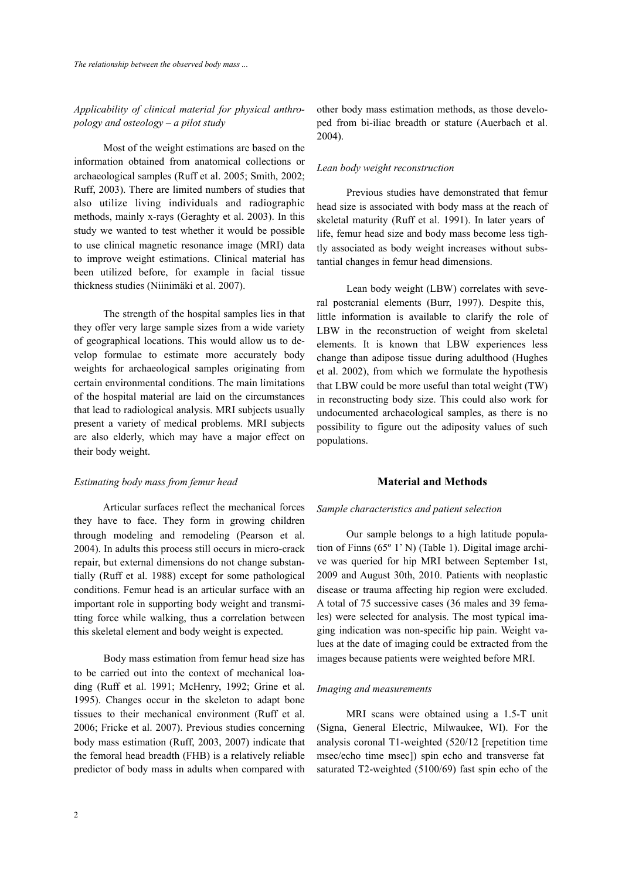# *Applicability of clinical material for physical anthropology and osteology – a pilot study*

 Most of the weight estimations are based on the information obtained from anatomical collections or archaeological samples (Ruff et al. 2005; Smith, 2002; Ruff, 2003). There are limited numbers of studies that also utilize living individuals and radiographic methods, mainly x-rays (Geraghty et al. 2003). In this study we wanted to test whether it would be possible to use clinical magnetic resonance image (MRI) data to improve weight estimations. Clinical material has been utilized before, for example in facial tissue thickness studies (Niinimäki et al. 2007).

 The strength of the hospital samples lies in that they offer very large sample sizes from a wide variety of geographical locations. This would allow us to develop formulae to estimate more accurately body weights for archaeological samples originating from certain environmental conditions. The main limitations of the hospital material are laid on the circumstances that lead to radiological analysis. MRI subjects usually present a variety of medical problems. MRI subjects are also elderly, which may have a major effect on their body weight.

## *Estimating body mass from femur head*

 Articular surfaces reflect the mechanical forces they have to face. They form in growing children through modeling and remodeling (Pearson et al. 2004). In adults this process still occurs in micro-crack repair, but external dimensions do not change substantially (Ruff et al. 1988) except for some pathological conditions. Femur head is an articular surface with an important role in supporting body weight and transmitting force while walking, thus a correlation between this skeletal element and body weight is expected.

 Body mass estimation from femur head size has to be carried out into the context of mechanical loading (Ruff et al. 1991; McHenry, 1992; Grine et al. 1995). Changes occur in the skeleton to adapt bone tissues to their mechanical environment (Ruff et al. 2006; Fricke et al. 2007). Previous studies concerning body mass estimation (Ruff, 2003, 2007) indicate that the femoral head breadth (FHB) is a relatively reliable predictor of body mass in adults when compared with

other body mass estimation methods, as those developed from bi-iliac breadth or stature (Auerbach et al. 2004).

## *Lean body weight reconstruction*

 Previous studies have demonstrated that femur head size is associated with body mass at the reach of skeletal maturity (Ruff et al. 1991). In later years of life, femur head size and body mass become less tightly associated as body weight increases without substantial changes in femur head dimensions.

 Lean body weight (LBW) correlates with several postcranial elements (Burr, 1997). Despite this, little information is available to clarify the role of LBW in the reconstruction of weight from skeletal elements. It is known that LBW experiences less change than adipose tissue during adulthood (Hughes et al. 2002), from which we formulate the hypothesis that LBW could be more useful than total weight (TW) in reconstructing body size. This could also work for undocumented archaeological samples, as there is no possibility to figure out the adiposity values of such populations.

## **Material and Methods**

#### *Sample characteristics and patient selection*

 Our sample belongs to a high latitude population of Finns (65º 1' N) (Table 1). Digital image archive was queried for hip MRI between September 1st, 2009 and August 30th, 2010. Patients with neoplastic disease or trauma affecting hip region were excluded. A total of 75 successive cases (36 males and 39 females) were selected for analysis. The most typical imaging indication was non-specific hip pain. Weight values at the date of imaging could be extracted from the images because patients were weighted before MRI.

#### *Imaging and measurements*

 MRI scans were obtained using a 1.5-T unit (Signa, General Electric, Milwaukee, WI). For the analysis coronal T1-weighted (520/12 [repetition time msec/echo time msec]) spin echo and transverse fat saturated T2-weighted (5100/69) fast spin echo of the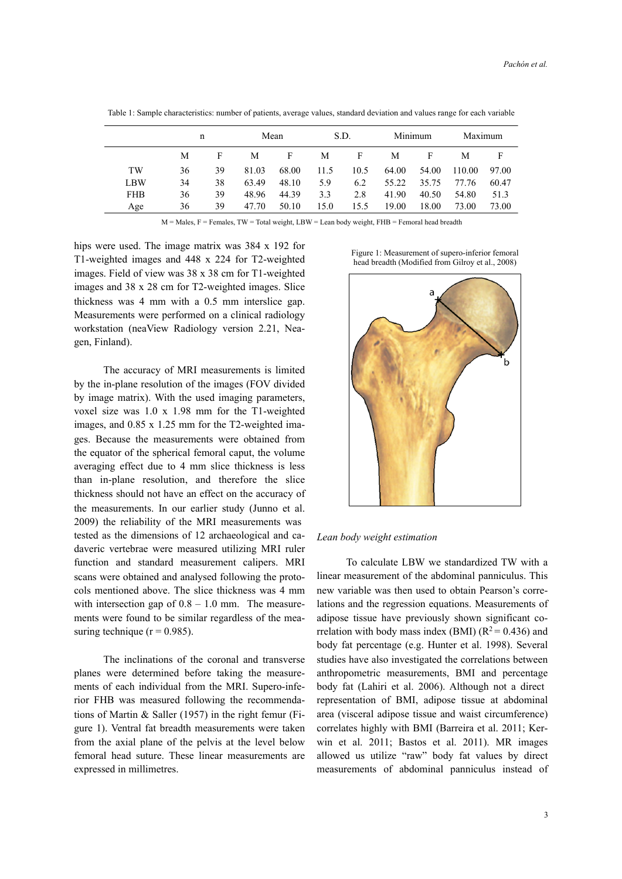|            | n  |    | Mean  |       | S.D. |      | Minimum |       | Maximum |       |
|------------|----|----|-------|-------|------|------|---------|-------|---------|-------|
|            | M  | F  | М     | F     | M    | F    | М       | F     | М       | F     |
| TW         | 36 | 39 | 81.03 | 68.00 | 11.5 | 10.5 | 64.00   | 54.00 | 110.00  | 97.00 |
| LBW        | 34 | 38 | 63.49 | 48.10 | 5.9  | 6.2  | 55.22   | 35.75 | 77.76   | 60.47 |
| <b>FHB</b> | 36 | 39 | 48.96 | 44.39 | 3.3  | 2.8  | 41.90   | 40.50 | 54.80   | 51.3  |
| Age        | 36 | 39 | 47.70 | 50.10 | 15.0 | 15.5 | 19.00   | 18.00 | 73.00   | 73.00 |

Table 1: Sample characteristics: number of patients, average values, standard deviation and values range for each variable

 $M =$ Males,  $F =$  Females,  $TW =$  Total weight,  $LBW =$  Lean body weight,  $FHB =$  Femoral head breadth

hips were used. The image matrix was 384 x 192 for T1-weighted images and 448 x 224 for T2-weighted images. Field of view was 38 x 38 cm for T1-weighted images and 38 x 28 cm for T2-weighted images. Slice thickness was 4 mm with a 0.5 mm interslice gap. Measurements were performed on a clinical radiology workstation (neaView Radiology version 2.21, Neagen, Finland).

 The accuracy of MRI measurements is limited by the in-plane resolution of the images (FOV divided by image matrix). With the used imaging parameters, voxel size was 1.0 x 1.98 mm for the T1-weighted images, and 0.85 x 1.25 mm for the T2-weighted images. Because the measurements were obtained from the equator of the spherical femoral caput, the volume averaging effect due to 4 mm slice thickness is less than in-plane resolution, and therefore the slice thickness should not have an effect on the accuracy of the measurements. In our earlier study (Junno et al. 2009) the reliability of the MRI measurements was tested as the dimensions of 12 archaeological and cadaveric vertebrae were measured utilizing MRI ruler function and standard measurement calipers. MRI scans were obtained and analysed following the protocols mentioned above. The slice thickness was 4 mm with intersection gap of  $0.8 - 1.0$  mm. The measurements were found to be similar regardless of the measuring technique ( $r = 0.985$ ).

 The inclinations of the coronal and transverse planes were determined before taking the measurements of each individual from the MRI. Supero-inferior FHB was measured following the recommendations of Martin & Saller (1957) in the right femur (Figure 1). Ventral fat breadth measurements were taken from the axial plane of the pelvis at the level below femoral head suture. These linear measurements are expressed in millimetres.





#### *Lean body weight estimation*

 To calculate LBW we standardized TW with a linear measurement of the abdominal panniculus. This new variable was then used to obtain Pearson's correlations and the regression equations. Measurements of adipose tissue have previously shown significant correlation with body mass index (BMI) ( $R^2$  = 0.436) and body fat percentage (e.g. Hunter et al. 1998). Several studies have also investigated the correlations between anthropometric measurements, BMI and percentage body fat (Lahiri et al. 2006). Although not a direct representation of BMI, adipose tissue at abdominal area (visceral adipose tissue and waist circumference) correlates highly with BMI (Barreira et al. 2011; Kerwin et al. 2011; Bastos et al. 2011). MR images allowed us utilize "raw" body fat values by direct measurements of abdominal panniculus instead of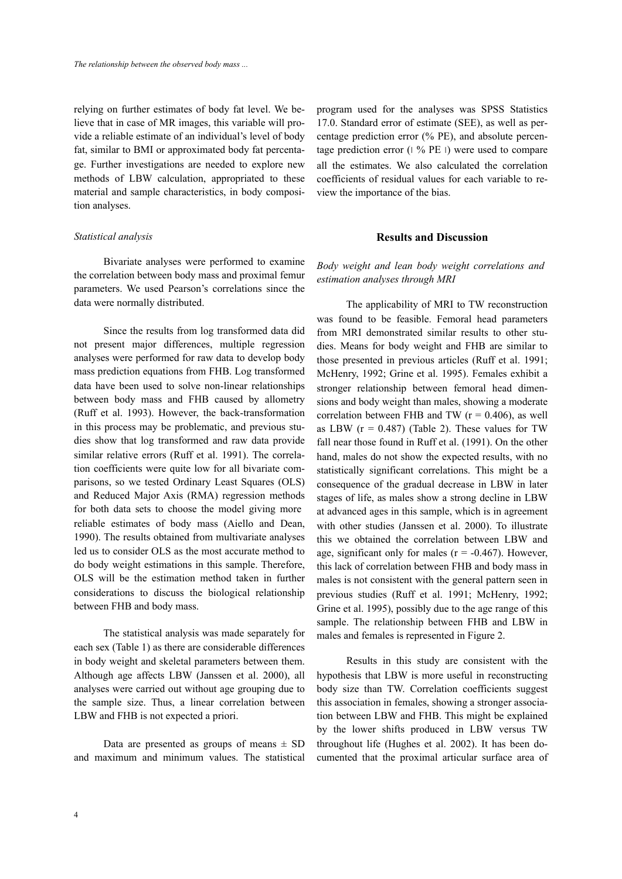relying on further estimates of body fat level. We believe that in case of MR images, this variable will provide a reliable estimate of an individual's level of body fat, similar to BMI or approximated body fat percentage. Further investigations are needed to explore new methods of LBW calculation, appropriated to these material and sample characteristics, in body composition analyses.

## *Statistical analysis*

 Bivariate analyses were performed to examine the correlation between body mass and proximal femur parameters. We used Pearson's correlations since the data were normally distributed.

 Since the results from log transformed data did not present major differences, multiple regression analyses were performed for raw data to develop body mass prediction equations from FHB. Log transformed data have been used to solve non-linear relationships between body mass and FHB caused by allometry (Ruff et al. 1993). However, the back-transformation in this process may be problematic, and previous studies show that log transformed and raw data provide similar relative errors (Ruff et al. 1991). The correlation coefficients were quite low for all bivariate comparisons, so we tested Ordinary Least Squares (OLS) and Reduced Major Axis (RMA) regression methods for both data sets to choose the model giving more reliable estimates of body mass (Aiello and Dean, 1990). The results obtained from multivariate analyses led us to consider OLS as the most accurate method to do body weight estimations in this sample. Therefore, OLS will be the estimation method taken in further considerations to discuss the biological relationship between FHB and body mass.

 The statistical analysis was made separately for each sex (Table 1) as there are considerable differences in body weight and skeletal parameters between them. Although age affects LBW (Janssen et al. 2000), all analyses were carried out without age grouping due to the sample size. Thus, a linear correlation between LBW and FHB is not expected a priori.

Data are presented as groups of means  $\pm$  SD and maximum and minimum values. The statistical

program used for the analyses was SPSS Statistics 17.0. Standard error of estimate (SEE), as well as percentage prediction error (% PE), and absolute percentage prediction error (∣ % PE ∣) were used to compare all the estimates. We also calculated the correlation coefficients of residual values for each variable to review the importance of the bias.

## **Results and Discussion**

*Body weight and lean body weight correlations and estimation analyses through MRI*

 The applicability of MRI to TW reconstruction was found to be feasible. Femoral head parameters from MRI demonstrated similar results to other studies. Means for body weight and FHB are similar to those presented in previous articles (Ruff et al. 1991; McHenry, 1992; Grine et al. 1995). Females exhibit a stronger relationship between femoral head dimensions and body weight than males, showing a moderate correlation between FHB and TW  $(r = 0.406)$ , as well as LBW  $(r = 0.487)$  (Table 2). These values for TW fall near those found in Ruff et al. (1991). On the other hand, males do not show the expected results, with no statistically significant correlations. This might be a consequence of the gradual decrease in LBW in later stages of life, as males show a strong decline in LBW at advanced ages in this sample, which is in agreement with other studies (Janssen et al. 2000). To illustrate this we obtained the correlation between LBW and age, significant only for males ( $r = -0.467$ ). However, this lack of correlation between FHB and body mass in males is not consistent with the general pattern seen in previous studies (Ruff et al. 1991; McHenry, 1992; Grine et al. 1995), possibly due to the age range of this sample. The relationship between FHB and LBW in males and females is represented in Figure 2.

 Results in this study are consistent with the hypothesis that LBW is more useful in reconstructing body size than TW. Correlation coefficients suggest this association in females, showing a stronger association between LBW and FHB. This might be explained by the lower shifts produced in LBW versus TW throughout life (Hughes et al. 2002). It has been documented that the proximal articular surface area of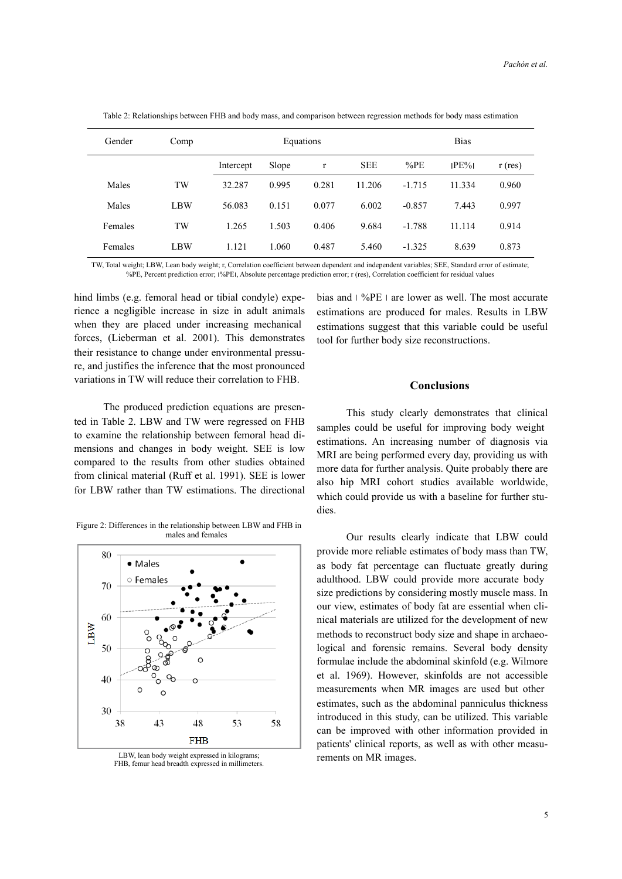| Gender  | Comp       | Equations |       |              |            | <b>Bias</b> |          |           |  |
|---------|------------|-----------|-------|--------------|------------|-------------|----------|-----------|--|
|         |            | Intercept | Slope | $\mathbf{r}$ | <b>SEE</b> | %PE         | $IPE\%I$ | $r$ (res) |  |
| Males   | <b>TW</b>  | 32.287    | 0.995 | 0.281        | 11.206     | $-1.715$    | 11.334   | 0.960     |  |
| Males   | <b>LBW</b> | 56.083    | 0.151 | 0.077        | 6.002      | $-0.857$    | 7.443    | 0.997     |  |
| Females | TW         | 1.265     | 1.503 | 0.406        | 9.684      | $-1.788$    | 11.114   | 0.914     |  |
| Females | LBW        | 1.121     | 1.060 | 0.487        | 5.460      | $-1.325$    | 8.639    | 0.873     |  |

Table 2: Relationships between FHB and body mass, and comparison between regression methods for body mass estimation

TW, Total weight; LBW, Lean body weight; r, Correlation coefficient between dependent and independent variables; SEE, Standard error of estimate; %PE, Percent prediction error; ׀%PE׀, Absolute percentage prediction error; r (res), Correlation coefficient for residual values

hind limbs (e.g. femoral head or tibial condyle) experience a negligible increase in size in adult animals when they are placed under increasing mechanical forces, (Lieberman et al. 2001). This demonstrates their resistance to change under environmental pressure, and justifies the inference that the most pronounced variations in TW will reduce their correlation to FHB.

 The produced prediction equations are presented in Table 2. LBW and TW were regressed on FHB to examine the relationship between femoral head dimensions and changes in body weight. SEE is low compared to the results from other studies obtained from clinical material (Ruff et al. 1991). SEE is lower for LBW rather than TW estimations. The directional

Figure 2: Differences in the relationship between LBW and FHB in males and females



LBW, lean body weight expressed in kilograms; FHB, femur head breadth expressed in millimeters.

bias and ∣ %PE ∣ are lower as well. The most accurate estimations are produced for males. Results in LBW estimations suggest that this variable could be useful tool for further body size reconstructions.

## **Conclusions**

This study clearly demonstrates that clinical samples could be useful for improving body weight estimations. An increasing number of diagnosis via MRI are being performed every day, providing us with more data for further analysis. Quite probably there are also hip MRI cohort studies available worldwide, which could provide us with a baseline for further studies.

 Our results clearly indicate that LBW could provide more reliable estimates of body mass than TW, as body fat percentage can fluctuate greatly during adulthood. LBW could provide more accurate body size predictions by considering mostly muscle mass. In our view, estimates of body fat are essential when clinical materials are utilized for the development of new methods to reconstruct body size and shape in archaeological and forensic remains. Several body density formulae include the abdominal skinfold (e.g. Wilmore et al. 1969). However, skinfolds are not accessible measurements when MR images are used but other estimates, such as the abdominal panniculus thickness introduced in this study, can be utilized. This variable can be improved with other information provided in patients' clinical reports, as well as with other measurements on MR images.